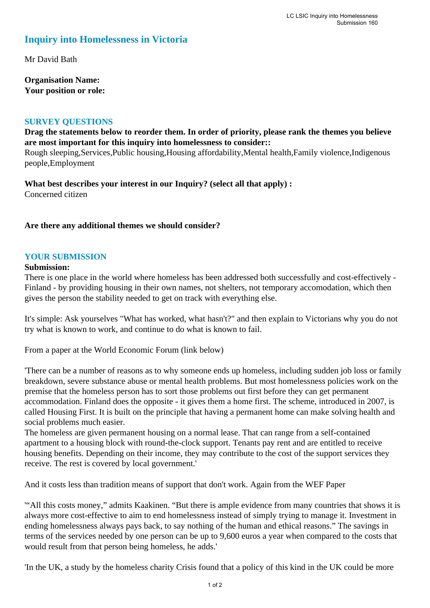# **Inquiry into Homelessness in Victoria**

Mr David Bath

**Organisation Name: Your position or role:** 

#### **SURVEY QUESTIONS**

**Drag the statements below to reorder them. In order of priority, please rank the themes you believe are most important for this inquiry into homelessness to consider::** 

Rough sleeping,Services,Public housing,Housing affordability,Mental health,Family violence,Indigenous people,Employment

**What best describes your interest in our Inquiry? (select all that apply) :**  Concerned citizen

#### **Are there any additional themes we should consider?**

#### **YOUR SUBMISSION**

#### **Submission:**

There is one place in the world where homeless has been addressed both successfully and cost-effectively - Finland - by providing housing in their own names, not shelters, not temporary accomodation, which then gives the person the stability needed to get on track with everything else.

It's simple: Ask yourselves "What has worked, what hasn't?" and then explain to Victorians why you do not try what is known to work, and continue to do what is known to fail.

From a paper at the World Economic Forum (link below)

'There can be a number of reasons as to why someone ends up homeless, including sudden job loss or family breakdown, severe substance abuse or mental health problems. But most homelessness policies work on the premise that the homeless person has to sort those problems out first before they can get permanent accommodation. Finland does the opposite - it gives them a home first. The scheme, introduced in 2007, is called Housing First. It is built on the principle that having a permanent home can make solving health and social problems much easier.

The homeless are given permanent housing on a normal lease. That can range from a self-contained apartment to a housing block with round-the-clock support. Tenants pay rent and are entitled to receive housing benefits. Depending on their income, they may contribute to the cost of the support services they receive. The rest is covered by local government.'

And it costs less than tradition means of support that don't work. Again from the WEF Paper

'"All this costs money," admits Kaakinen. "But there is ample evidence from many countries that shows it is always more cost-effective to aim to end homelessness instead of simply trying to manage it. Investment in ending homelessness always pays back, to say nothing of the human and ethical reasons." The savings in terms of the services needed by one person can be up to 9,600 euros a year when compared to the costs that would result from that person being homeless, he adds.'

'In the UK, a study by the homeless charity Crisis found that a policy of this kind in the UK could be more